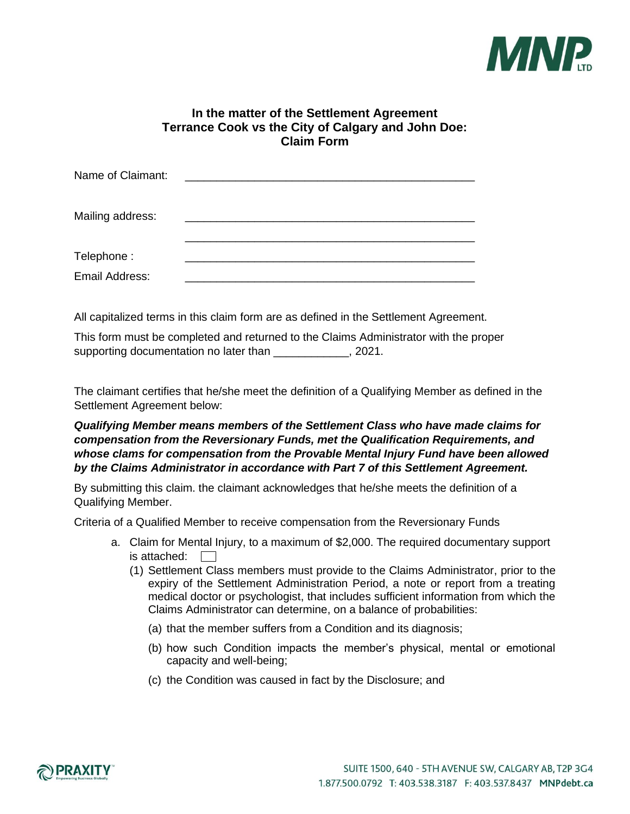

### **In the matter of the Settlement Agreement Terrance Cook vs the City of Calgary and John Doe: Claim Form**

| Name of Claimant: |  |
|-------------------|--|
| Mailing address:  |  |
| Telephone:        |  |
| Email Address:    |  |

All capitalized terms in this claim form are as defined in the Settlement Agreement.

This form must be completed and returned to the Claims Administrator with the proper supporting documentation no later than \_\_\_\_\_\_\_\_\_\_\_\_, 2021.

The claimant certifies that he/she meet the definition of a Qualifying Member as defined in the Settlement Agreement below:

#### *Qualifying Member means members of the Settlement Class who have made claims for compensation from the Reversionary Funds, met the Qualification Requirements, and whose clams for compensation from the Provable Mental Injury Fund have been allowed by the Claims Administrator in accordance with Part 7 of this Settlement Agreement.*

By submitting this claim. the claimant acknowledges that he/she meets the definition of a Qualifying Member.

Criteria of a Qualified Member to receive compensation from the Reversionary Funds

- a. Claim for Mental Injury, to a maximum of \$2,000. The required documentary support is attached:
	- (1) Settlement Class members must provide to the Claims Administrator, prior to the expiry of the Settlement Administration Period, a note or report from a treating medical doctor or psychologist, that includes sufficient information from which the Claims Administrator can determine, on a balance of probabilities:
		- (a) that the member suffers from a Condition and its diagnosis;
		- (b) how such Condition impacts the member's physical, mental or emotional capacity and well-being;
		- (c) the Condition was caused in fact by the Disclosure; and

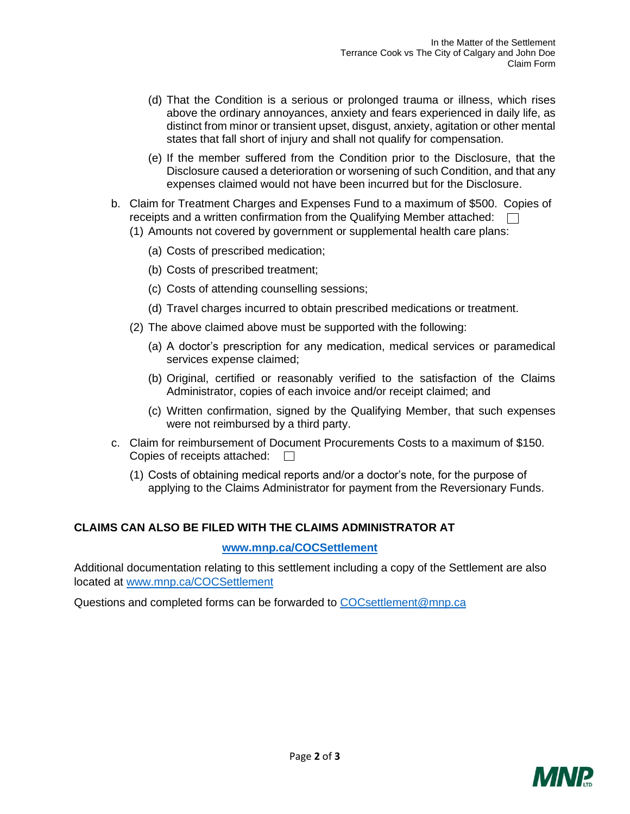- (d) That the Condition is a serious or prolonged trauma or illness, which rises above the ordinary annoyances, anxiety and fears experienced in daily life, as distinct from minor or transient upset, disgust, anxiety, agitation or other mental states that fall short of injury and shall not qualify for compensation.
- (e) If the member suffered from the Condition prior to the Disclosure, that the Disclosure caused a deterioration or worsening of such Condition, and that any expenses claimed would not have been incurred but for the Disclosure.
- b. Claim for Treatment Charges and Expenses Fund to a maximum of \$500. Copies of receipts and a written confirmation from the Qualifying Member attached:  $\Box$ (1) Amounts not covered by government or supplemental health care plans:
	- (a) Costs of prescribed medication;
	- (b) Costs of prescribed treatment;
	- (c) Costs of attending counselling sessions;
	- (d) Travel charges incurred to obtain prescribed medications or treatment.
	- (2) The above claimed above must be supported with the following:
		- (a) A doctor's prescription for any medication, medical services or paramedical services expense claimed;
		- (b) Original, certified or reasonably verified to the satisfaction of the Claims Administrator, copies of each invoice and/or receipt claimed; and
		- (c) Written confirmation, signed by the Qualifying Member, that such expenses were not reimbursed by a third party.
- c. Claim for reimbursement of Document Procurements Costs to a maximum of \$150. Copies of receipts attached:  $\Box$ 
	- (1) Costs of obtaining medical reports and/or a doctor's note, for the purpose of applying to the Claims Administrator for payment from the Reversionary Funds.

## **CLAIMS CAN ALSO BE FILED WITH THE CLAIMS ADMINISTRATOR AT**

#### **[www.mnp.ca/COCSettlement](http://www.mnp.ca/COCSettlement)**

Additional documentation relating to this settlement including a copy of the Settlement are also located at [www.mnp.ca/COCSettlement](http://www.mnp.ca/COCSettlement)

Questions and completed forms can be forwarded to [COCsettlement@mnp.ca](mailto:COCsettlement@mnp.ca)